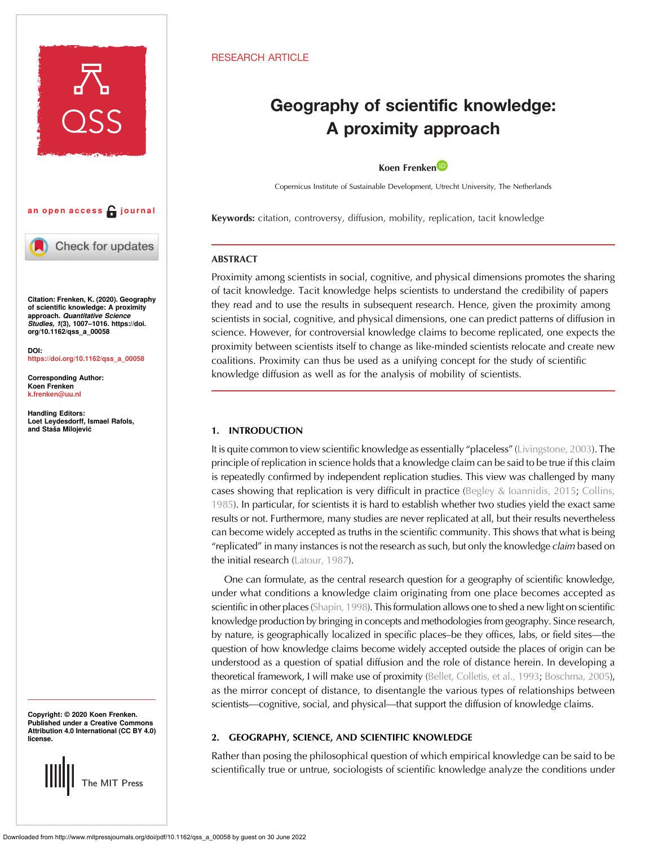





Check for updates

Citation: Frenken, K. (2020). Geography of scientific knowledge: A proximity approach. Quantitative Science Studies, 1(3), 1007–1016. [https://doi.](https://doi.org/10.1162/qss_a_00058) [org/10.1162/qss\\_a\\_00058](https://doi.org/10.1162/qss_a_00058)

DOI: [https://doi.org/10.1162/qss\\_a\\_00058](https://doi.org/10.1162/qss_a_00058)

Corresponding Author: Koen Frenken [k.frenken@uu.nl](mailto:k.frenken@uu.nl)

Handling Editors: Loet Leydesdorff, Ismael Rafols, and Staša Milojević

Copyright: © 2020 Koen Frenken. Published under a Creative Commons Attribution 4.0 International (CC BY 4.0) license.



## RESEARCH ARTICLE

# Geography of scientific knowledge: A proximity approach

## Koen Frenken

Copernicus Institute of Sustainable Development, Utrecht University, The Netherlands

Keywords: citation, controversy, diffusion, mobility, replication, tacit knowledge

## ABSTRACT

Proximity among scientists in social, cognitive, and physical dimensions promotes the sharing of tacit knowledge. Tacit knowledge helps scientists to understand the credibility of papers they read and to use the results in subsequent research. Hence, given the proximity among scientists in social, cognitive, and physical dimensions, one can predict patterns of diffusion in science. However, for controversial knowledge claims to become replicated, one expects the proximity between scientists itself to change as like-minded scientists relocate and create new coalitions. Proximity can thus be used as a unifying concept for the study of scientific knowledge diffusion as well as for the analysis of mobility of scientists.

## 1. INTRODUCTION

It is quite common to view scientific knowledge as essentially "placeless" [\(Livingstone, 2003](#page-9-0)). The principle of replication in science holds that a knowledge claim can be said to be true if this claim is repeatedly confirmed by independent replication studies. This view was challenged by many cases showing that replication is very difficult in practice ([Begley & Ioannidis, 2015;](#page-8-0) [Collins,](#page-8-0) [1985\)](#page-8-0). In particular, for scientists it is hard to establish whether two studies yield the exact same results or not. Furthermore, many studies are never replicated at all, but their results nevertheless can become widely accepted as truths in the scientific community. This shows that what is being "replicated" in many instances is not the research as such, but only the knowledge claim based on the initial research ([Latour, 1987](#page-9-0)).

One can formulate, as the central research question for a geography of scientific knowledge, under what conditions a knowledge claim originating from one place becomes accepted as scientific in other places [\(Shapin, 1998](#page-9-0)). This formulation allows one to shed a new light on scientific knowledge production by bringing in concepts and methodologies from geography. Since research, by nature, is geographically localized in specific places–be they offices, labs, or field sites—the question of how knowledge claims become widely accepted outside the places of origin can be understood as a question of spatial diffusion and the role of distance herein. In developing a theoretical framework, I will make use of proximity ([Bellet, Colletis, et al., 1993](#page-8-0); [Boschma, 2005](#page-8-0)), as the mirror concept of distance, to disentangle the various types of relationships between scientists—cognitive, social, and physical—that support the diffusion of knowledge claims.

# 2. GEOGRAPHY, SCIENCE, AND SCIENTIFIC KNOWLEDGE

Rather than posing the philosophical question of which empirical knowledge can be said to be scientifically true or untrue, sociologists of scientific knowledge analyze the conditions under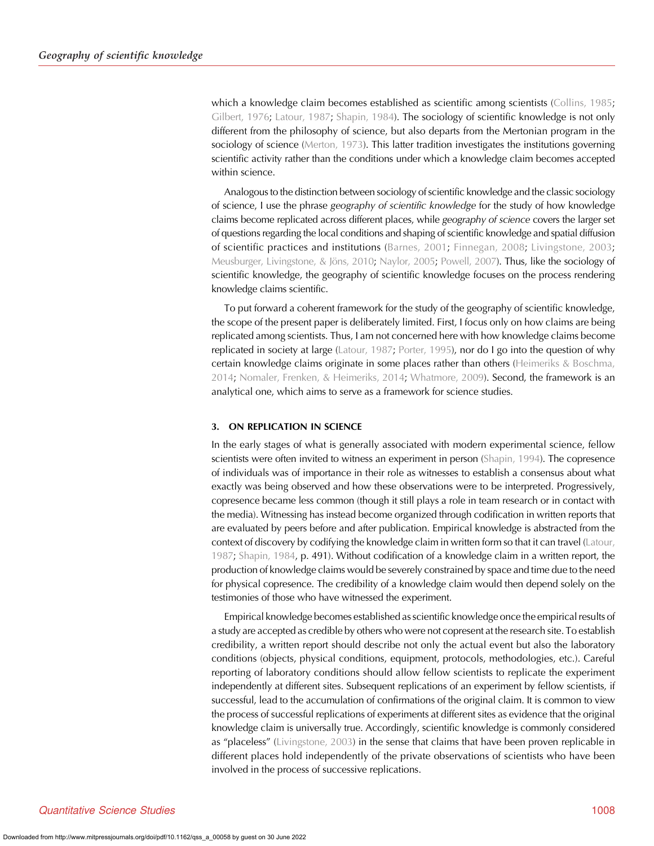which a knowledge claim becomes established as scientific among scientists [\(Collins, 1985](#page-8-0); [Gilbert, 1976](#page-8-0); [Latour, 1987;](#page-9-0) [Shapin, 1984\)](#page-9-0). The sociology of scientific knowledge is not only different from the philosophy of science, but also departs from the Mertonian program in the sociology of science [\(Merton, 1973](#page-9-0)). This latter tradition investigates the institutions governing scientific activity rather than the conditions under which a knowledge claim becomes accepted within science.

Analogous to the distinction between sociology of scientific knowledge and the classic sociology of science, I use the phrase geography of scientific knowledge for the study of how knowledge claims become replicated across different places, while geography of science covers the larger set of questions regarding the local conditions and shaping of scientific knowledge and spatial diffusion of scientific practices and institutions ([Barnes, 2001;](#page-8-0) [Finnegan, 2008](#page-8-0); [Livingstone, 2003](#page-9-0); [Meusburger, Livingstone, & Jöns, 2010](#page-9-0); [Naylor, 2005;](#page-9-0) [Powell, 2007\)](#page-9-0). Thus, like the sociology of scientific knowledge, the geography of scientific knowledge focuses on the process rendering knowledge claims scientific.

To put forward a coherent framework for the study of the geography of scientific knowledge, the scope of the present paper is deliberately limited. First, I focus only on how claims are being replicated among scientists. Thus, I am not concerned here with how knowledge claims become replicated in society at large ([Latour, 1987;](#page-9-0) [Porter, 1995\)](#page-9-0), nor do I go into the question of why certain knowledge claims originate in some places rather than others ([Heimeriks & Boschma,](#page-8-0) [2014;](#page-8-0) [Nomaler, Frenken, & Heimeriks, 2014;](#page-9-0) [Whatmore, 2009](#page-9-0)). Second, the framework is an analytical one, which aims to serve as a framework for science studies.

## 3. ON REPLICATION IN SCIENCE

In the early stages of what is generally associated with modern experimental science, fellow scientists were often invited to witness an experiment in person ([Shapin, 1994\)](#page-9-0). The copresence of individuals was of importance in their role as witnesses to establish a consensus about what exactly was being observed and how these observations were to be interpreted. Progressively, copresence became less common (though it still plays a role in team research or in contact with the media). Witnessing has instead become organized through codification in written reports that are evaluated by peers before and after publication. Empirical knowledge is abstracted from the context of discovery by codifying the knowledge claim in written form so that it can travel [\(Latour,](#page-9-0) [1987;](#page-9-0) [Shapin, 1984](#page-9-0), p. 491). Without codification of a knowledge claim in a written report, the production of knowledge claims would be severely constrained by space and time due to the need for physical copresence. The credibility of a knowledge claim would then depend solely on the testimonies of those who have witnessed the experiment.

Empirical knowledge becomes established as scientific knowledge once the empirical results of a study are accepted as credible by others who were not copresent at the research site. To establish credibility, a written report should describe not only the actual event but also the laboratory conditions (objects, physical conditions, equipment, protocols, methodologies, etc.). Careful reporting of laboratory conditions should allow fellow scientists to replicate the experiment independently at different sites. Subsequent replications of an experiment by fellow scientists, if successful, lead to the accumulation of confirmations of the original claim. It is common to view the process of successful replications of experiments at different sites as evidence that the original knowledge claim is universally true. Accordingly, scientific knowledge is commonly considered as "placeless" ([Livingstone, 2003](#page-9-0)) in the sense that claims that have been proven replicable in different places hold independently of the private observations of scientists who have been involved in the process of successive replications.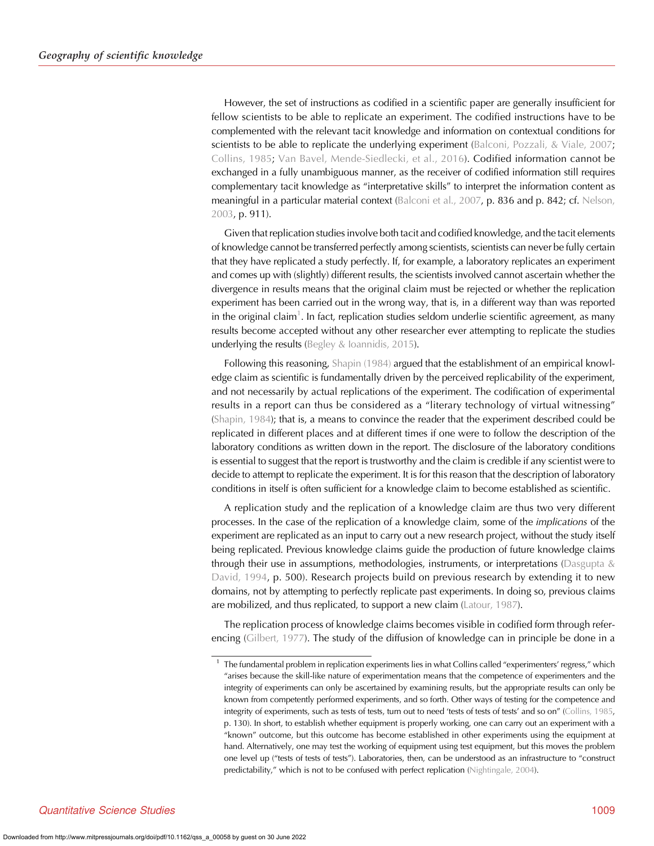However, the set of instructions as codified in a scientific paper are generally insufficient for fellow scientists to be able to replicate an experiment. The codified instructions have to be complemented with the relevant tacit knowledge and information on contextual conditions for scientists to be able to replicate the underlying experiment ([Balconi, Pozzali, & Viale, 2007](#page-8-0); [Collins, 1985;](#page-8-0) [Van Bavel, Mende-Siedlecki, et al., 2016\)](#page-9-0). Codified information cannot be exchanged in a fully unambiguous manner, as the receiver of codified information still requires complementary tacit knowledge as "interpretative skills" to interpret the information content as meaningful in a particular material context [\(Balconi et al., 2007](#page-8-0), p. 836 and p. 842; cf. [Nelson,](#page-9-0) [2003,](#page-9-0) p. 911).

Given that replication studies involve both tacit and codified knowledge, and the tacit elements of knowledge cannot be transferred perfectly among scientists, scientists can never be fully certain that they have replicated a study perfectly. If, for example, a laboratory replicates an experiment and comes up with (slightly) different results, the scientists involved cannot ascertain whether the divergence in results means that the original claim must be rejected or whether the replication experiment has been carried out in the wrong way, that is, in a different way than was reported in the original claim<sup>1</sup>. In fact, replication studies seldom underlie scientific agreement, as many results become accepted without any other researcher ever attempting to replicate the studies underlying the results ([Begley & Ioannidis, 2015\)](#page-8-0).

Following this reasoning, [Shapin \(1984\)](#page-9-0) argued that the establishment of an empirical knowledge claim as scientific is fundamentally driven by the perceived replicability of the experiment, and not necessarily by actual replications of the experiment. The codification of experimental results in a report can thus be considered as a "literary technology of virtual witnessing" [\(Shapin, 1984\)](#page-9-0); that is, a means to convince the reader that the experiment described could be replicated in different places and at different times if one were to follow the description of the laboratory conditions as written down in the report. The disclosure of the laboratory conditions is essential to suggest that the report is trustworthy and the claim is credible if any scientist were to decide to attempt to replicate the experiment. It is for this reason that the description of laboratory conditions in itself is often sufficient for a knowledge claim to become established as scientific.

A replication study and the replication of a knowledge claim are thus two very different processes. In the case of the replication of a knowledge claim, some of the implications of the experiment are replicated as an input to carry out a new research project, without the study itself being replicated. Previous knowledge claims guide the production of future knowledge claims through their use in assumptions, methodologies, instruments, or interpretations (Dasgupta  $\&$ [David, 1994](#page-8-0), p. 500). Research projects build on previous research by extending it to new domains, not by attempting to perfectly replicate past experiments. In doing so, previous claims are mobilized, and thus replicated, to support a new claim [\(Latour, 1987\)](#page-9-0).

The replication process of knowledge claims becomes visible in codified form through refer-encing ([Gilbert, 1977](#page-8-0)). The study of the diffusion of knowledge can in principle be done in a

 $1$  The fundamental problem in replication experiments lies in what Collins called "experimenters' regress," which "arises because the skill-like nature of experimentation means that the competence of experimenters and the integrity of experiments can only be ascertained by examining results, but the appropriate results can only be known from competently performed experiments, and so forth. Other ways of testing for the competence and integrity of experiments, such as tests of tests, turn out to need 'tests of tests of tests' and so on" [\(Collins, 1985,](#page-8-0) p. 130). In short, to establish whether equipment is properly working, one can carry out an experiment with a "known" outcome, but this outcome has become established in other experiments using the equipment at hand. Alternatively, one may test the working of equipment using test equipment, but this moves the problem one level up ("tests of tests of tests"). Laboratories, then, can be understood as an infrastructure to "construct predictability," which is not to be confused with perfect replication ([Nightingale, 2004](#page-9-0)).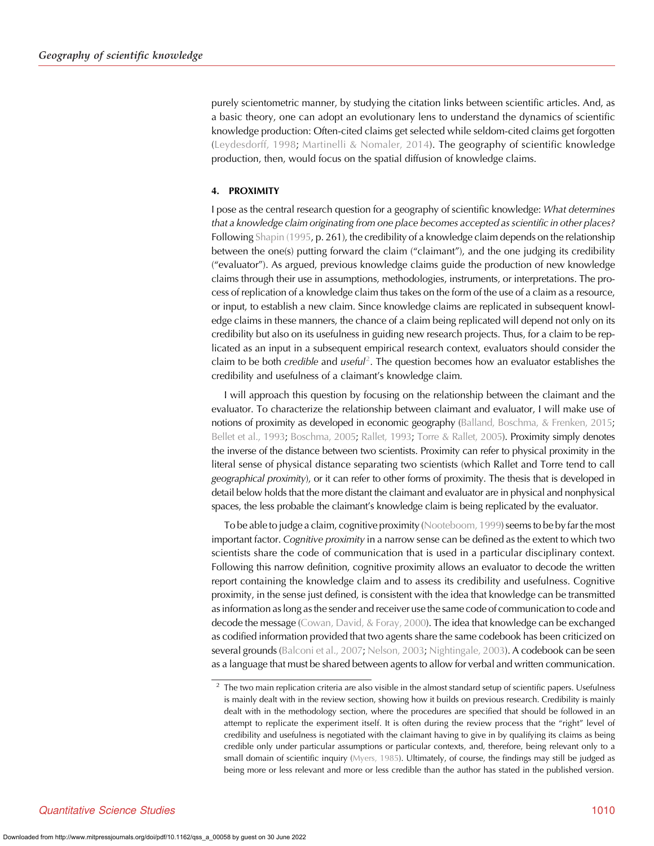purely scientometric manner, by studying the citation links between scientific articles. And, as a basic theory, one can adopt an evolutionary lens to understand the dynamics of scientific knowledge production: Often-cited claims get selected while seldom-cited claims get forgotten ([Leydesdorff, 1998](#page-9-0); [Martinelli & Nomaler, 2014](#page-9-0)). The geography of scientific knowledge production, then, would focus on the spatial diffusion of knowledge claims.

#### 4. PROXIMITY

I pose as the central research question for a geography of scientific knowledge: What determines that a knowledge claim originating from one place becomes accepted as scientific in other places? Following [Shapin \(1995](#page-9-0), p. 261), the credibility of a knowledge claim depends on the relationship between the one(s) putting forward the claim ("claimant"), and the one judging its credibility ("evaluator"). As argued, previous knowledge claims guide the production of new knowledge claims through their use in assumptions, methodologies, instruments, or interpretations. The process of replication of a knowledge claim thus takes on the form of the use of a claim as a resource, or input, to establish a new claim. Since knowledge claims are replicated in subsequent knowledge claims in these manners, the chance of a claim being replicated will depend not only on its credibility but also on its usefulness in guiding new research projects. Thus, for a claim to be replicated as an input in a subsequent empirical research context, evaluators should consider the claim to be both credible and useful<sup>2</sup>. The question becomes how an evaluator establishes the credibility and usefulness of a claimant's knowledge claim.

I will approach this question by focusing on the relationship between the claimant and the evaluator. To characterize the relationship between claimant and evaluator, I will make use of notions of proximity as developed in economic geography ([Balland, Boschma, & Frenken, 2015](#page-8-0); [Bellet et al., 1993;](#page-8-0) [Boschma, 2005](#page-8-0); [Rallet, 1993;](#page-9-0) [Torre & Rallet, 2005](#page-9-0)). Proximity simply denotes the inverse of the distance between two scientists. Proximity can refer to physical proximity in the literal sense of physical distance separating two scientists (which Rallet and Torre tend to call geographical proximity), or it can refer to other forms of proximity. The thesis that is developed in detail below holds that the more distant the claimant and evaluator are in physical and nonphysical spaces, the less probable the claimant's knowledge claim is being replicated by the evaluator.

To be able to judge a claim, cognitive proximity [\(Nooteboom, 1999](#page-9-0)) seems to be by far the most important factor. Cognitive proximity in a narrow sense can be defined as the extent to which two scientists share the code of communication that is used in a particular disciplinary context. Following this narrow definition, cognitive proximity allows an evaluator to decode the written report containing the knowledge claim and to assess its credibility and usefulness. Cognitive proximity, in the sense just defined, is consistent with the idea that knowledge can be transmitted as information as long as the sender and receiver use the same code of communication to code and decode the message ([Cowan, David, & Foray, 2000\)](#page-8-0). The idea that knowledge can be exchanged as codified information provided that two agents share the same codebook has been criticized on several grounds ([Balconi et al., 2007;](#page-8-0) [Nelson, 2003](#page-9-0); [Nightingale, 2003\)](#page-9-0). A codebook can be seen as a language that must be shared between agents to allow for verbal and written communication.

 $2$  The two main replication criteria are also visible in the almost standard setup of scientific papers. Usefulness is mainly dealt with in the review section, showing how it builds on previous research. Credibility is mainly dealt with in the methodology section, where the procedures are specified that should be followed in an attempt to replicate the experiment itself. It is often during the review process that the "right" level of credibility and usefulness is negotiated with the claimant having to give in by qualifying its claims as being credible only under particular assumptions or particular contexts, and, therefore, being relevant only to a small domain of scientific inquiry [\(Myers, 1985\)](#page-9-0). Ultimately, of course, the findings may still be judged as being more or less relevant and more or less credible than the author has stated in the published version.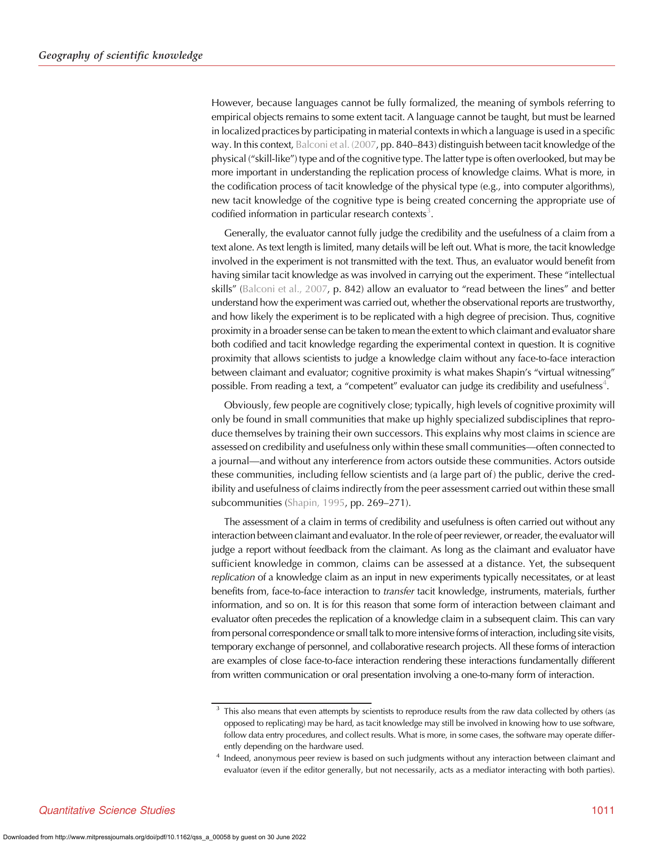However, because languages cannot be fully formalized, the meaning of symbols referring to empirical objects remains to some extent tacit. A language cannot be taught, but must be learned in localized practices by participating in material contexts in which a language is used in a specific way. In this context, [Balconi et al. \(2007](#page-8-0), pp. 840–843) distinguish between tacit knowledge of the physical ("skill-like") type and of the cognitive type. The latter type is often overlooked, but may be more important in understanding the replication process of knowledge claims. What is more, in the codification process of tacit knowledge of the physical type (e.g., into computer algorithms), new tacit knowledge of the cognitive type is being created concerning the appropriate use of codified information in particular research contexts<sup>3</sup>.

Generally, the evaluator cannot fully judge the credibility and the usefulness of a claim from a text alone. As text length is limited, many details will be left out. What is more, the tacit knowledge involved in the experiment is not transmitted with the text. Thus, an evaluator would benefit from having similar tacit knowledge as was involved in carrying out the experiment. These "intellectual skills" [\(Balconi et al., 2007,](#page-8-0) p. 842) allow an evaluator to "read between the lines" and better understand how the experiment was carried out, whether the observational reports are trustworthy, and how likely the experiment is to be replicated with a high degree of precision. Thus, cognitive proximity in a broader sense can be taken to mean the extent to which claimant and evaluator share both codified and tacit knowledge regarding the experimental context in question. It is cognitive proximity that allows scientists to judge a knowledge claim without any face-to-face interaction between claimant and evaluator; cognitive proximity is what makes Shapin's "virtual witnessing" possible. From reading a text, a "competent" evaluator can judge its credibility and usefulness $^4$ .

Obviously, few people are cognitively close; typically, high levels of cognitive proximity will only be found in small communities that make up highly specialized subdisciplines that reproduce themselves by training their own successors. This explains why most claims in science are assessed on credibility and usefulness only within these small communities—often connected to a journal—and without any interference from actors outside these communities. Actors outside these communities, including fellow scientists and (a large part of) the public, derive the credibility and usefulness of claims indirectly from the peer assessment carried out within these small subcommunities [\(Shapin, 1995](#page-9-0), pp. 269-271).

The assessment of a claim in terms of credibility and usefulness is often carried out without any interaction between claimant and evaluator. In the role of peer reviewer, or reader, the evaluator will judge a report without feedback from the claimant. As long as the claimant and evaluator have sufficient knowledge in common, claims can be assessed at a distance. Yet, the subsequent replication of a knowledge claim as an input in new experiments typically necessitates, or at least benefits from, face-to-face interaction to transfer tacit knowledge, instruments, materials, further information, and so on. It is for this reason that some form of interaction between claimant and evaluator often precedes the replication of a knowledge claim in a subsequent claim. This can vary from personal correspondence or small talk to more intensive forms of interaction, including site visits, temporary exchange of personnel, and collaborative research projects. All these forms of interaction are examples of close face-to-face interaction rendering these interactions fundamentally different from written communication or oral presentation involving a one-to-many form of interaction.

Downloaded from http://www.mitpressjournals.org/doi/pdf/10.1162/qss\_a\_00058 by guest on 30 June 2022

 $3$  This also means that even attempts by scientists to reproduce results from the raw data collected by others (as opposed to replicating) may be hard, as tacit knowledge may still be involved in knowing how to use software, follow data entry procedures, and collect results. What is more, in some cases, the software may operate differently depending on the hardware used.

<sup>&</sup>lt;sup>4</sup> Indeed, anonymous peer review is based on such judgments without any interaction between claimant and evaluator (even if the editor generally, but not necessarily, acts as a mediator interacting with both parties).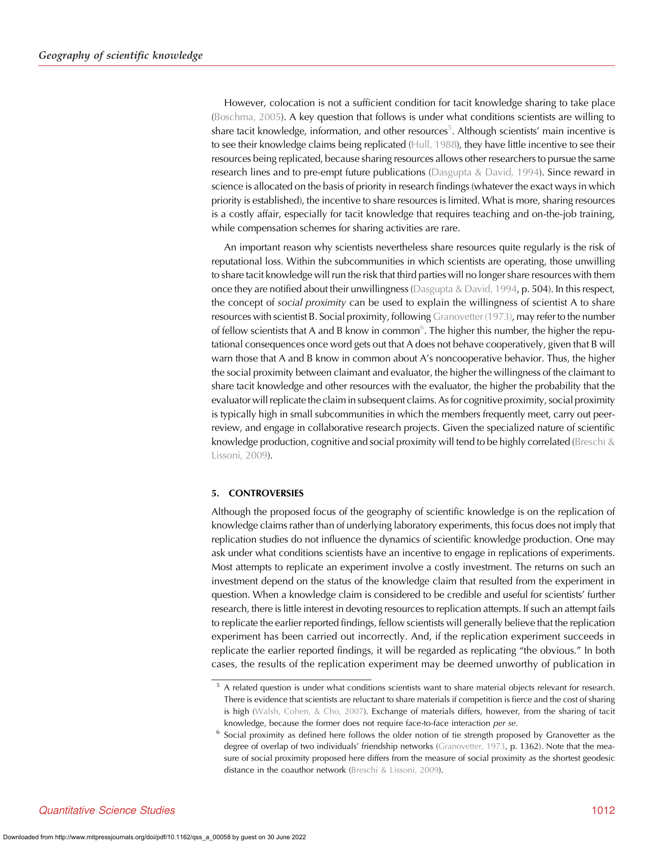However, colocation is not a sufficient condition for tacit knowledge sharing to take place ([Boschma, 2005](#page-8-0)). A key question that follows is under what conditions scientists are willing to share tacit knowledge, information, and other resources<sup>5</sup>. Although scientists' main incentive is to see their knowledge claims being replicated [\(Hull, 1988\)](#page-9-0), they have little incentive to see their resources being replicated, because sharing resources allows other researchers to pursue the same research lines and to pre-empt future publications ([Dasgupta & David, 1994\)](#page-8-0). Since reward in science is allocated on the basis of priority in research findings (whatever the exact ways in which priority is established), the incentive to share resources is limited. What is more, sharing resources is a costly affair, especially for tacit knowledge that requires teaching and on-the-job training, while compensation schemes for sharing activities are rare.

An important reason why scientists nevertheless share resources quite regularly is the risk of reputational loss. Within the subcommunities in which scientists are operating, those unwilling to share tacit knowledge will run the risk that third parties will no longer share resources with them once they are notified about their unwillingness ([Dasgupta & David, 1994,](#page-8-0) p. 504). In this respect, the concept of *social proximity* can be used to explain the willingness of scientist A to share resources with scientist B. Social proximity, following [Granovetter \(1973\),](#page-8-0) may refer to the number of fellow scientists that A and B know in common<sup>6</sup>. The higher this number, the higher the reputational consequences once word gets out that A does not behave cooperatively, given that B will warn those that A and B know in common about A's noncooperative behavior. Thus, the higher the social proximity between claimant and evaluator, the higher the willingness of the claimant to share tacit knowledge and other resources with the evaluator, the higher the probability that the evaluator will replicate the claim in subsequent claims. As for cognitive proximity, social proximity is typically high in small subcommunities in which the members frequently meet, carry out peerreview, and engage in collaborative research projects. Given the specialized nature of scientific knowledge production, cognitive and social proximity will tend to be highly correlated [\(Breschi &](#page-8-0) [Lissoni, 2009\)](#page-8-0).

## 5. CONTROVERSIES

Although the proposed focus of the geography of scientific knowledge is on the replication of knowledge claims rather than of underlying laboratory experiments, this focus does not imply that replication studies do not influence the dynamics of scientific knowledge production. One may ask under what conditions scientists have an incentive to engage in replications of experiments. Most attempts to replicate an experiment involve a costly investment. The returns on such an investment depend on the status of the knowledge claim that resulted from the experiment in question. When a knowledge claim is considered to be credible and useful for scientists' further research, there is little interest in devoting resources to replication attempts. If such an attempt fails to replicate the earlier reported findings, fellow scientists will generally believe that the replication experiment has been carried out incorrectly. And, if the replication experiment succeeds in replicate the earlier reported findings, it will be regarded as replicating "the obvious." In both cases, the results of the replication experiment may be deemed unworthy of publication in

 $5$  A related question is under what conditions scientists want to share material objects relevant for research. There is evidence that scientists are reluctant to share materials if competition is fierce and the cost of sharing is high ([Walsh, Cohen, & Cho, 2007\)](#page-9-0). Exchange of materials differs, however, from the sharing of tacit knowledge, because the former does not require face-to-face interaction per se.

<sup>&</sup>lt;sup>6</sup> Social proximity as defined here follows the older notion of tie strength proposed by Granovetter as the degree of overlap of two individuals' friendship networks [\(Granovetter, 1973](#page-8-0), p. 1362). Note that the measure of social proximity proposed here differs from the measure of social proximity as the shortest geodesic distance in the coauthor network ([Breschi & Lissoni, 2009\)](#page-8-0).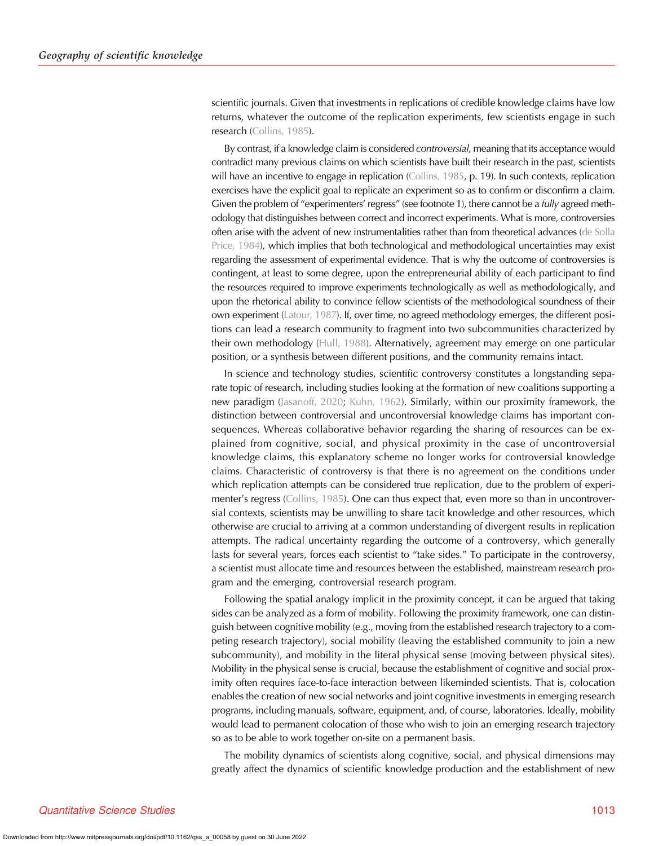scientific journals. Given that investments in replications of credible knowledge claims have low returns, whatever the outcome of the replication experiments, few scientists engage in such research [\(Collins, 1985](#page-8-0)).

By contrast, if a knowledge claim is considered *controversial*, meaning that its acceptance would contradict many previous claims on which scientists have built their research in the past, scientists will have an incentive to engage in replication ([Collins, 1985,](#page-8-0) p. 19). In such contexts, replication exercises have the explicit goal to replicate an experiment so as to confirm or disconfirm a claim. Given the problem of "experimenters' regress" (see footnote 1), there cannot be a fully agreed methodology that distinguishes between correct and incorrect experiments. What is more, controversies often arise with the advent of new instrumentalities rather than from theoretical advances [\(de Solla](#page-8-0) [Price, 1984](#page-8-0)), which implies that both technological and methodological uncertainties may exist regarding the assessment of experimental evidence. That is why the outcome of controversies is contingent, at least to some degree, upon the entrepreneurial ability of each participant to find the resources required to improve experiments technologically as well as methodologically, and upon the rhetorical ability to convince fellow scientists of the methodological soundness of their own experiment ([Latour, 1987](#page-9-0)). If, over time, no agreed methodology emerges, the different positions can lead a research community to fragment into two subcommunities characterized by their own methodology ([Hull, 1988\)](#page-9-0). Alternatively, agreement may emerge on one particular position, or a synthesis between different positions, and the community remains intact.

In science and technology studies, scientific controversy constitutes a longstanding separate topic of research, including studies looking at the formation of new coalitions supporting a new paradigm ([Jasanoff, 2020](#page-9-0); [Kuhn, 1962\)](#page-9-0). Similarly, within our proximity framework, the distinction between controversial and uncontroversial knowledge claims has important consequences. Whereas collaborative behavior regarding the sharing of resources can be explained from cognitive, social, and physical proximity in the case of uncontroversial knowledge claims, this explanatory scheme no longer works for controversial knowledge claims. Characteristic of controversy is that there is no agreement on the conditions under which replication attempts can be considered true replication, due to the problem of experi-menter's regress ([Collins, 1985\)](#page-8-0). One can thus expect that, even more so than in uncontroversial contexts, scientists may be unwilling to share tacit knowledge and other resources, which otherwise are crucial to arriving at a common understanding of divergent results in replication attempts. The radical uncertainty regarding the outcome of a controversy, which generally lasts for several years, forces each scientist to "take sides." To participate in the controversy, a scientist must allocate time and resources between the established, mainstream research program and the emerging, controversial research program.

Following the spatial analogy implicit in the proximity concept, it can be argued that taking sides can be analyzed as a form of mobility. Following the proximity framework, one can distinguish between cognitive mobility (e.g., moving from the established research trajectory to a competing research trajectory), social mobility (leaving the established community to join a new subcommunity), and mobility in the literal physical sense (moving between physical sites). Mobility in the physical sense is crucial, because the establishment of cognitive and social proximity often requires face-to-face interaction between likeminded scientists. That is, colocation enables the creation of new social networks and joint cognitive investments in emerging research programs, including manuals, software, equipment, and, of course, laboratories. Ideally, mobility would lead to permanent colocation of those who wish to join an emerging research trajectory so as to be able to work together on-site on a permanent basis.

The mobility dynamics of scientists along cognitive, social, and physical dimensions may greatly affect the dynamics of scientific knowledge production and the establishment of new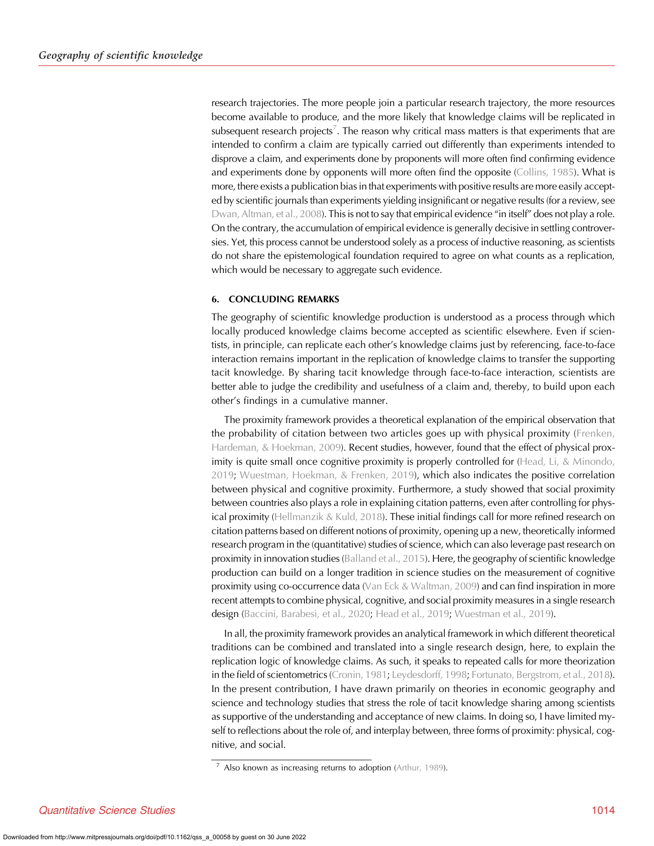research trajectories. The more people join a particular research trajectory, the more resources become available to produce, and the more likely that knowledge claims will be replicated in subsequent research projects<sup>7</sup>. The reason why critical mass matters is that experiments that are intended to confirm a claim are typically carried out differently than experiments intended to disprove a claim, and experiments done by proponents will more often find confirming evidence and experiments done by opponents will more often find the opposite ([Collins, 1985](#page-8-0)). What is more, there exists a publication bias in that experiments with positive results are more easily accepted by scientific journals than experiments yielding insignificant or negative results (for a review, see [Dwan, Altman, et al., 2008](#page-8-0)). This is not to say that empirical evidence "in itself" does not play a role. On the contrary, the accumulation of empirical evidence is generally decisive in settling controversies. Yet, this process cannot be understood solely as a process of inductive reasoning, as scientists do not share the epistemological foundation required to agree on what counts as a replication, which would be necessary to aggregate such evidence.

#### 6. CONCLUDING REMARKS

The geography of scientific knowledge production is understood as a process through which locally produced knowledge claims become accepted as scientific elsewhere. Even if scientists, in principle, can replicate each other's knowledge claims just by referencing, face-to-face interaction remains important in the replication of knowledge claims to transfer the supporting tacit knowledge. By sharing tacit knowledge through face-to-face interaction, scientists are better able to judge the credibility and usefulness of a claim and, thereby, to build upon each other's findings in a cumulative manner.

The proximity framework provides a theoretical explanation of the empirical observation that the probability of citation between two articles goes up with physical proximity ([Frenken,](#page-8-0) [Hardeman, & Hoekman, 2009](#page-8-0)). Recent studies, however, found that the effect of physical prox-imity is quite small once cognitive proximity is properly controlled for ([Head, Li, & Minondo,](#page-8-0) [2019;](#page-8-0) [Wuestman, Hoekman, & Frenken, 2019\)](#page-9-0), which also indicates the positive correlation between physical and cognitive proximity. Furthermore, a study showed that social proximity between countries also plays a role in explaining citation patterns, even after controlling for physical proximity ([Hellmanzik & Kuld, 2018\)](#page-9-0). These initial findings call for more refined research on citation patterns based on different notions of proximity, opening up a new, theoretically informed research program in the (quantitative) studies of science, which can also leverage past research on proximity in innovation studies [\(Balland et al., 2015\)](#page-8-0). Here, the geography of scientific knowledge production can build on a longer tradition in science studies on the measurement of cognitive proximity using co-occurrence data ([Van Eck & Waltman, 2009](#page-9-0)) and can find inspiration in more recent attempts to combine physical, cognitive, and social proximity measures in a single research design ([Baccini, Barabesi, et al., 2020;](#page-8-0) [Head et al., 2019;](#page-8-0) [Wuestman et al., 2019\)](#page-9-0).

In all, the proximity framework provides an analytical framework in which different theoretical traditions can be combined and translated into a single research design, here, to explain the replication logic of knowledge claims. As such, it speaks to repeated calls for more theorization in the field of scientometrics ([Cronin, 1981;](#page-8-0) [Leydesdorff, 1998](#page-9-0); [Fortunato, Bergstrom, et al., 2018\)](#page-8-0). In the present contribution, I have drawn primarily on theories in economic geography and science and technology studies that stress the role of tacit knowledge sharing among scientists as supportive of the understanding and acceptance of new claims. In doing so, I have limited myself to reflections about the role of, and interplay between, three forms of proximity: physical, cognitive, and social.

 $<sup>7</sup>$  Also known as increasing returns to adoption [\(Arthur, 1989](#page-8-0)).</sup>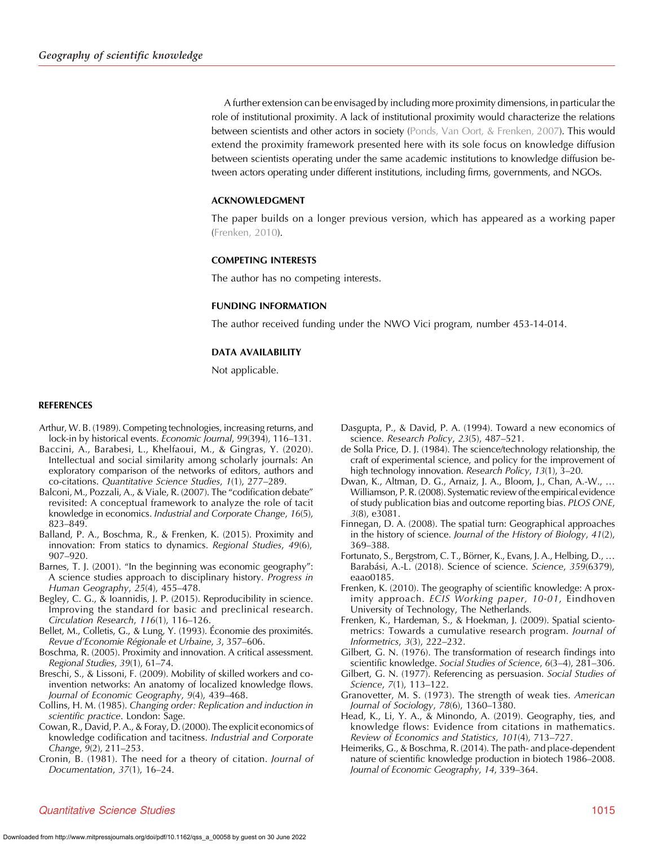<span id="page-8-0"></span>A further extension can be envisaged by including more proximity dimensions, in particular the role of institutional proximity. A lack of institutional proximity would characterize the relations between scientists and other actors in society [\(Ponds, Van Oort, & Frenken, 2007\)](#page-9-0). This would extend the proximity framework presented here with its sole focus on knowledge diffusion between scientists operating under the same academic institutions to knowledge diffusion between actors operating under different institutions, including firms, governments, and NGOs.

#### ACKNOWLEDGMENT

The paper builds on a longer previous version, which has appeared as a working paper (Frenken, 2010).

#### COMPETING INTERESTS

The author has no competing interests.

## FUNDING INFORMATION

The author received funding under the NWO Vici program, number 453-14-014.

#### DATA AVAILABILITY

Not applicable.

#### **REFERENCES**

- Arthur, W. B. (1989). Competing technologies, increasing returns, and lock-in by historical events. Economic Journal, 99(394), 116–131.
- Baccini, A., Barabesi, L., Khelfaoui, M., & Gingras, Y. (2020). Intellectual and social similarity among scholarly journals: An exploratory comparison of the networks of editors, authors and co-citations. Quantitative Science Studies, 1(1), 277–289.
- Balconi, M., Pozzali, A., & Viale, R. (2007). The "codification debate" revisited: A conceptual framework to analyze the role of tacit knowledge in economics. Industrial and Corporate Change, 16(5), 823–849.
- Balland, P. A., Boschma, R., & Frenken, K. (2015). Proximity and innovation: From statics to dynamics. Regional Studies, 49(6), 907–920.
- Barnes, T. J. (2001). "In the beginning was economic geography": A science studies approach to disciplinary history. Progress in Human Geography, 25(4), 455–478.
- Begley, C. G., & Ioannidis, J. P. (2015). Reproducibility in science. Improving the standard for basic and preclinical research. Circulation Research, 116(1), 116–126.
- Bellet, M., Colletis, G., & Lung, Y. (1993). Économie des proximités. Revue d'Economie Régionale et Urbaine, 3, 357–606.
- Boschma, R. (2005). Proximity and innovation. A critical assessment. Regional Studies, 39(1), 61–74.
- Breschi, S., & Lissoni, F. (2009). Mobility of skilled workers and coinvention networks: An anatomy of localized knowledge flows. Journal of Economic Geography, 9(4), 439–468.
- Collins, H. M. (1985). Changing order: Replication and induction in scientific practice. London: Sage.
- Cowan, R., David, P. A., & Foray, D. (2000). The explicit economics of knowledge codification and tacitness. Industrial and Corporate Change, 9(2), 211–253.
- Cronin, B. (1981). The need for a theory of citation. Journal of Documentation, 37(1), 16–24.
- Dasgupta, P., & David, P. A. (1994). Toward a new economics of science. Research Policy, 23(5), 487–521.
- de Solla Price, D. J. (1984). The science/technology relationship, the craft of experimental science, and policy for the improvement of high technology innovation. Research Policy, 13(1), 3-20.
- Dwan, K., Altman, D. G., Arnaiz, J. A., Bloom, J., Chan, A.-W., … Williamson, P. R. (2008). Systematic review of the empirical evidence of study publication bias and outcome reporting bias. PLOS ONE, 3(8), e3081.
- Finnegan, D. A. (2008). The spatial turn: Geographical approaches in the history of science. Journal of the History of Biology, 41(2), 369–388.
- Fortunato, S., Bergstrom, C. T., Börner, K., Evans, J. A., Helbing, D., … Barabási, A.-L. (2018). Science of science. Science, 359(6379), eaao0185.
- Frenken, K. (2010). The geography of scientific knowledge: A proximity approach. ECIS Working paper, 10-01, Eindhoven University of Technology, The Netherlands.
- Frenken, K., Hardeman, S., & Hoekman, J. (2009). Spatial scientometrics: Towards a cumulative research program. Journal of Informetrics, 3(3), 222–232.
- Gilbert, G. N. (1976). The transformation of research findings into scientific knowledge. Social Studies of Science, 6(3–4), 281–306.
- Gilbert, G. N. (1977). Referencing as persuasion. Social Studies of Science, 7(1), 113–122.
- Granovetter, M. S. (1973). The strength of weak ties. American Journal of Sociology, 78(6), 1360–1380.
- Head, K., Li, Y. A., & Minondo, A. (2019). Geography, ties, and knowledge flows: Evidence from citations in mathematics. Review of Economics and Statistics, 101(4), 713–727.
- Heimeriks, G., & Boschma, R. (2014). The path- and place-dependent nature of scientific knowledge production in biotech 1986–2008. Journal of Economic Geography, 14, 339–364.

#### Quantitative Science Studies 1015